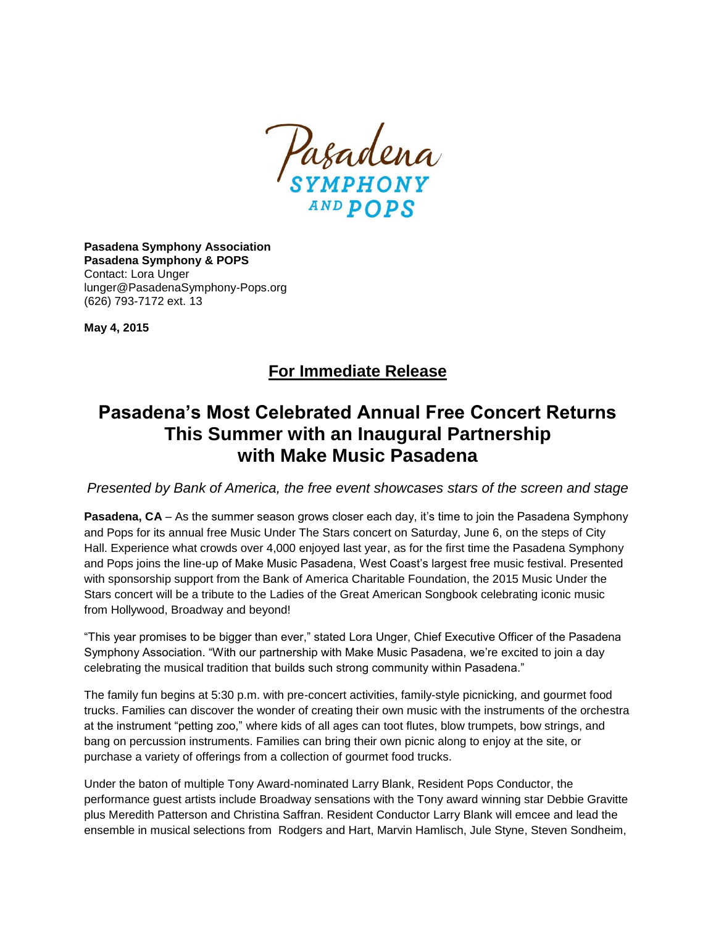

**Pasadena Symphony Association Pasadena Symphony & POPS** Contact: Lora Unger lunger@PasadenaSymphony-Pops.org (626) 793-7172 ext. 13

**May 4, 2015**

# **For Immediate Release**

# **Pasadena's Most Celebrated Annual Free Concert Returns This Summer with an Inaugural Partnership with Make Music Pasadena**

*Presented by Bank of America, the free event showcases stars of the screen and stage*

**Pasadena, CA** – As the summer season grows closer each day, it's time to join the Pasadena Symphony and Pops for its annual free Music Under The Stars concert on Saturday, June 6, on the steps of City Hall. Experience what crowds over 4,000 enjoyed last year, as for the first time the Pasadena Symphony and Pops joins the line-up of Make Music Pasadena, West Coast's largest free music festival. Presented with sponsorship support from the Bank of America Charitable Foundation, the 2015 Music Under the Stars concert will be a tribute to the Ladies of the Great American Songbook celebrating iconic music from Hollywood, Broadway and beyond!

"This year promises to be bigger than ever," stated Lora Unger, Chief Executive Officer of the Pasadena Symphony Association. "With our partnership with Make Music Pasadena, we're excited to join a day celebrating the musical tradition that builds such strong community within Pasadena."

The family fun begins at 5:30 p.m. with pre-concert activities, family-style picnicking, and gourmet food trucks. Families can discover the wonder of creating their own music with the instruments of the orchestra at the instrument "petting zoo," where kids of all ages can toot flutes, blow trumpets, bow strings, and bang on percussion instruments. Families can bring their own picnic along to enjoy at the site, or purchase a variety of offerings from a collection of gourmet food trucks.

Under the baton of multiple Tony Award-nominated Larry Blank, Resident Pops Conductor, the performance guest artists include Broadway sensations with the Tony award winning star Debbie Gravitte plus Meredith Patterson and Christina Saffran. Resident Conductor Larry Blank will emcee and lead the ensemble in musical selections from Rodgers and Hart, Marvin Hamlisch, Jule Styne, Steven Sondheim,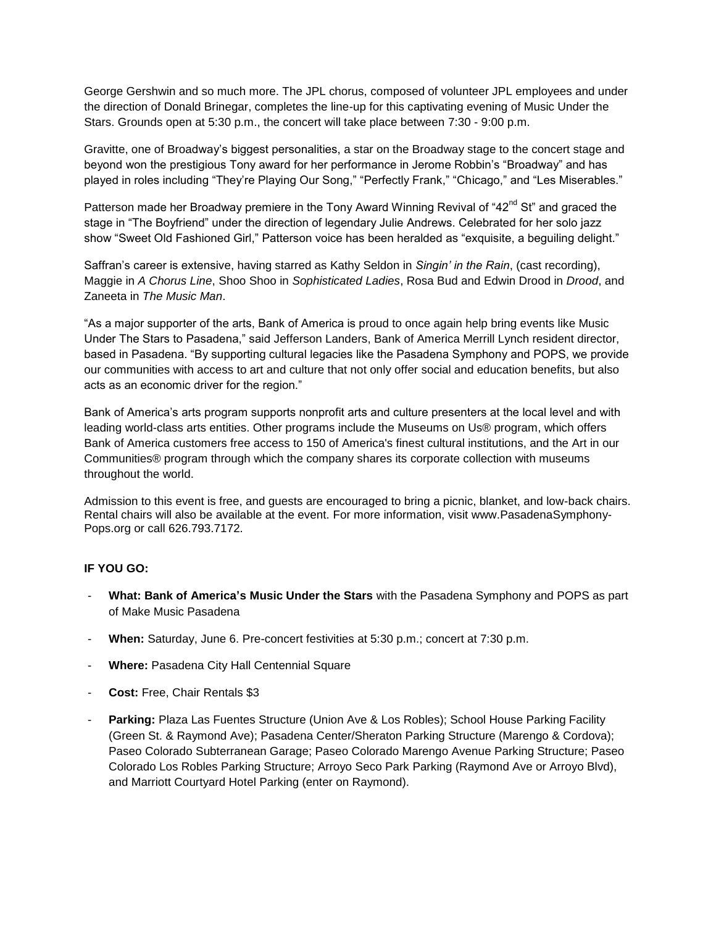George Gershwin and so much more. The JPL chorus, composed of volunteer JPL employees and under the direction of Donald Brinegar, completes the line-up for this captivating evening of Music Under the Stars. Grounds open at 5:30 p.m., the concert will take place between 7:30 - 9:00 p.m.

Gravitte, one of Broadway's biggest personalities, a star on the Broadway stage to the concert stage and beyond won the prestigious Tony award for her performance in Jerome Robbin's "Broadway" and has played in roles including "They're Playing Our Song," "Perfectly Frank," "Chicago," and "Les Miserables."

Patterson made her Broadway premiere in the Tony Award Winning Revival of "42<sup>nd</sup> St" and graced the stage in "The Boyfriend" under the direction of legendary Julie Andrews. Celebrated for her solo jazz show "Sweet Old Fashioned Girl," Patterson voice has been heralded as "exquisite, a beguiling delight."

Saffran's career is extensive, having starred as Kathy Seldon in *Singin' in the Rain*, (cast recording), Maggie in *A Chorus Line*, Shoo Shoo in *Sophisticated Ladies*, Rosa Bud and Edwin Drood in *Drood*, and Zaneeta in *The Music Man*.

"As a major supporter of the arts, Bank of America is proud to once again help bring events like Music Under The Stars to Pasadena," said Jefferson Landers, Bank of America Merrill Lynch resident director, based in Pasadena. "By supporting cultural legacies like the Pasadena Symphony and POPS, we provide our communities with access to art and culture that not only offer social and education benefits, but also acts as an economic driver for the region."

Bank of America's arts program supports nonprofit arts and culture presenters at the local level and with leading world-class arts entities. Other programs include the Museums on Us® program, which offers Bank of America customers free access to 150 of America's finest cultural institutions, and the Art in our Communities® program through which the company shares its corporate collection with museums throughout the world.

Admission to this event is free, and guests are encouraged to bring a picnic, blanket, and low-back chairs. Rental chairs will also be available at the event. For more information, visit www.PasadenaSymphony-Pops.org or call 626.793.7172.

# **IF YOU GO:**

- **What: Bank of America's Music Under the Stars** with the Pasadena Symphony and POPS as part of Make Music Pasadena
- When: Saturday, June 6. Pre-concert festivities at 5:30 p.m.; concert at 7:30 p.m.
- **Where:** Pasadena City Hall Centennial Square
- **Cost:** Free, Chair Rentals \$3
- Parking: Plaza Las Fuentes Structure (Union Ave & Los Robles); School House Parking Facility (Green St. & Raymond Ave); Pasadena Center/Sheraton Parking Structure (Marengo & Cordova); Paseo Colorado Subterranean Garage; Paseo Colorado Marengo Avenue Parking Structure; Paseo Colorado Los Robles Parking Structure; Arroyo Seco Park Parking (Raymond Ave or Arroyo Blvd), and Marriott Courtyard Hotel Parking (enter on Raymond).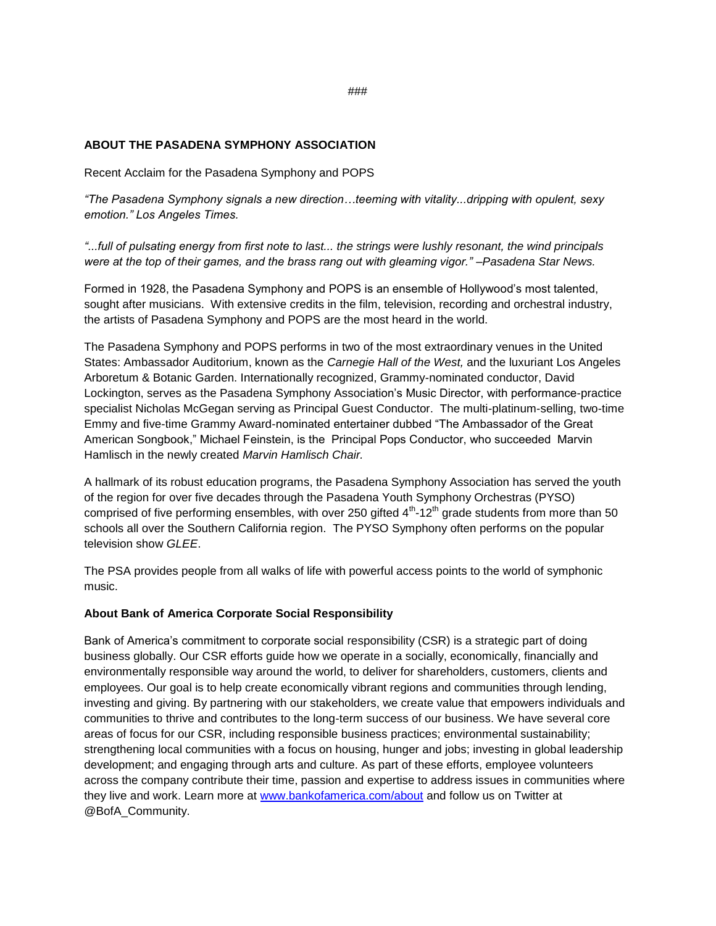#### **ABOUT THE PASADENA SYMPHONY ASSOCIATION**

Recent Acclaim for the Pasadena Symphony and POPS

*"The Pasadena Symphony signals a new direction…teeming with vitality...dripping with opulent, sexy emotion." Los Angeles Times.* 

*"...full of pulsating energy from first note to last... the strings were lushly resonant, the wind principals were at the top of their games, and the brass rang out with gleaming vigor." –Pasadena Star News.*

Formed in 1928, the Pasadena Symphony and POPS is an ensemble of Hollywood's most talented, sought after musicians. With extensive credits in the film, television, recording and orchestral industry, the artists of Pasadena Symphony and POPS are the most heard in the world.

The Pasadena Symphony and POPS performs in two of the most extraordinary venues in the United States: Ambassador Auditorium, known as the *Carnegie Hall of the West,* and the luxuriant Los Angeles Arboretum & Botanic Garden. Internationally recognized, Grammy-nominated conductor, David Lockington, serves as the Pasadena Symphony Association's Music Director, with performance-practice specialist Nicholas McGegan serving as Principal Guest Conductor. The multi-platinum-selling, two-time Emmy and five-time Grammy Award-nominated entertainer dubbed "The Ambassador of the Great American Songbook," Michael Feinstein, is the Principal Pops Conductor, who succeeded Marvin Hamlisch in the newly created *Marvin Hamlisch Chair.*

A hallmark of its robust education programs, the Pasadena Symphony Association has served the youth of the region for over five decades through the Pasadena Youth Symphony Orchestras (PYSO) comprised of five performing ensembles, with over 250 gifted  $4^{\text{th}}$ -12<sup>th</sup> grade students from more than 50 schools all over the Southern California region. The PYSO Symphony often performs on the popular television show *GLEE*.

The PSA provides people from all walks of life with powerful access points to the world of symphonic music.

#### **About Bank of America Corporate Social Responsibility**

Bank of America's commitment to corporate social responsibility (CSR) is a strategic part of doing business globally. Our CSR efforts guide how we operate in a socially, economically, financially and environmentally responsible way around the world, to deliver for shareholders, customers, clients and employees. Our goal is to help create economically vibrant regions and communities through lending, investing and giving. By partnering with our stakeholders, we create value that empowers individuals and communities to thrive and contributes to the long-term success of our business. We have several core areas of focus for our CSR, including responsible business practices; environmental sustainability; strengthening local communities with a focus on housing, hunger and jobs; investing in global leadership development; and engaging through arts and culture. As part of these efforts, employee volunteers across the company contribute their time, passion and expertise to address issues in communities where they live and work. Learn more at [www.bankofamerica.com/about](http://cts.businesswire.com/ct/CT?id=smartlink&url=http%3A%2F%2Fwww.bankofamerica.com%2Fabout&esheet=50501966&lan=en-US&anchor=www.bankofamerica.com%2Fabout&index=14&md5=f9aaa7d2946f8498d660e846afaac38c) and follow us on Twitter at @BofA\_Community.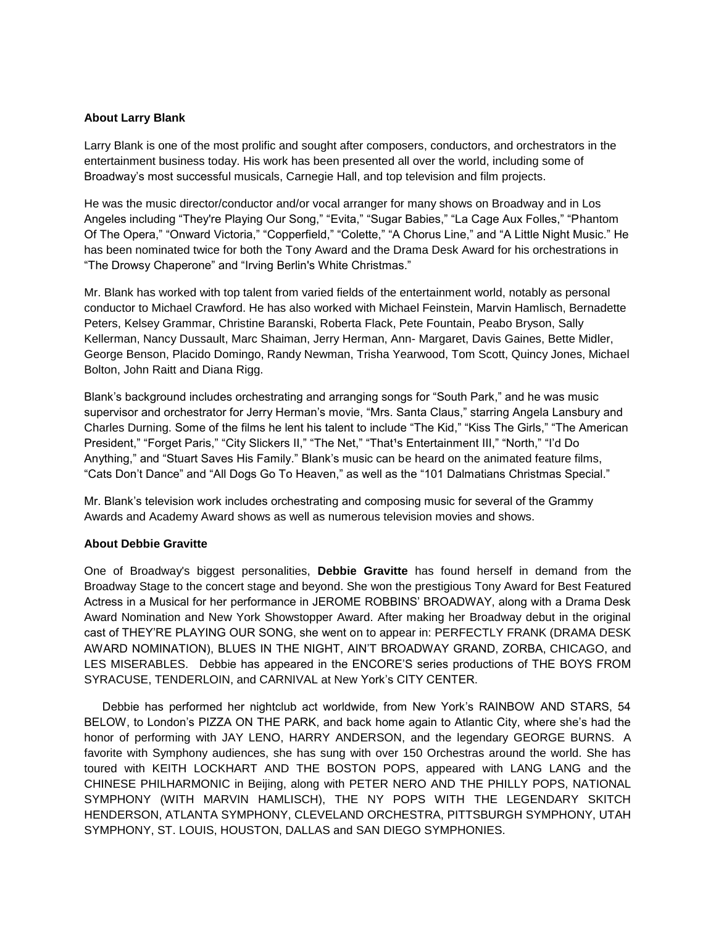### **About Larry Blank**

Larry Blank is one of the most prolific and sought after composers, conductors, and orchestrators in the entertainment business today. His work has been presented all over the world, including some of Broadway's most successful musicals, Carnegie Hall, and top television and film projects.

He was the music director/conductor and/or vocal arranger for many shows on Broadway and in Los Angeles including "They're Playing Our Song," "Evita," "Sugar Babies," "La Cage Aux Folles," "Phantom Of The Opera," "Onward Victoria," "Copperfield," "Colette," "A Chorus Line," and "A Little Night Music." He has been nominated twice for both the Tony Award and the Drama Desk Award for his orchestrations in "The Drowsy Chaperone" and "Irving Berlin's White Christmas."

Mr. Blank has worked with top talent from varied fields of the entertainment world, notably as personal conductor to Michael Crawford. He has also worked with Michael Feinstein, Marvin Hamlisch, Bernadette Peters, Kelsey Grammar, Christine Baranski, Roberta Flack, Pete Fountain, Peabo Bryson, Sally Kellerman, Nancy Dussault, Marc Shaiman, Jerry Herman, Ann- Margaret, Davis Gaines, Bette Midler, George Benson, Placido Domingo, Randy Newman, Trisha Yearwood, Tom Scott, Quincy Jones, Michael Bolton, John Raitt and Diana Rigg.

Blank's background includes orchestrating and arranging songs for "South Park," and he was music supervisor and orchestrator for Jerry Herman's movie, "Mrs. Santa Claus," starring Angela Lansbury and Charles Durning. Some of the films he lent his talent to include "The Kid," "Kiss The Girls," "The American President," "Forget Paris," "City Slickers II," "The Net," "That<sup>1</sup>s Entertainment III," "North," "I'd Do Anything," and "Stuart Saves His Family." Blank's music can be heard on the animated feature films, "Cats Don't Dance" and "All Dogs Go To Heaven," as well as the "101 Dalmatians Christmas Special."

Mr. Blank's television work includes orchestrating and composing music for several of the Grammy Awards and Academy Award shows as well as numerous television movies and shows.

#### **About Debbie Gravitte**

One of Broadway's biggest personalities, **Debbie Gravitte** has found herself in demand from the Broadway Stage to the concert stage and beyond. She won the prestigious Tony Award for Best Featured Actress in a Musical for her performance in JEROME ROBBINS' BROADWAY, along with a Drama Desk Award Nomination and New York Showstopper Award. After making her Broadway debut in the original cast of THEY'RE PLAYING OUR SONG, she went on to appear in: PERFECTLY FRANK (DRAMA DESK AWARD NOMINATION), BLUES IN THE NIGHT, AIN'T BROADWAY GRAND, ZORBA, CHICAGO, and LES MISERABLES. Debbie has appeared in the ENCORE'S series productions of THE BOYS FROM SYRACUSE, TENDERLOIN, and CARNIVAL at New York's CITY CENTER.

 Debbie has performed her nightclub act worldwide, from New York's RAINBOW AND STARS, 54 BELOW, to London's PIZZA ON THE PARK, and back home again to Atlantic City, where she's had the honor of performing with JAY LENO, HARRY ANDERSON, and the legendary GEORGE BURNS. A favorite with Symphony audiences, she has sung with over 150 Orchestras around the world. She has toured with KEITH LOCKHART AND THE BOSTON POPS, appeared with LANG LANG and the CHINESE PHILHARMONIC in Beijing, along with PETER NERO AND THE PHILLY POPS, NATIONAL SYMPHONY (WITH MARVIN HAMLISCH), THE NY POPS WITH THE LEGENDARY SKITCH HENDERSON, ATLANTA SYMPHONY, CLEVELAND ORCHESTRA, PITTSBURGH SYMPHONY, UTAH SYMPHONY, ST. LOUIS, HOUSTON, DALLAS and SAN DIEGO SYMPHONIES.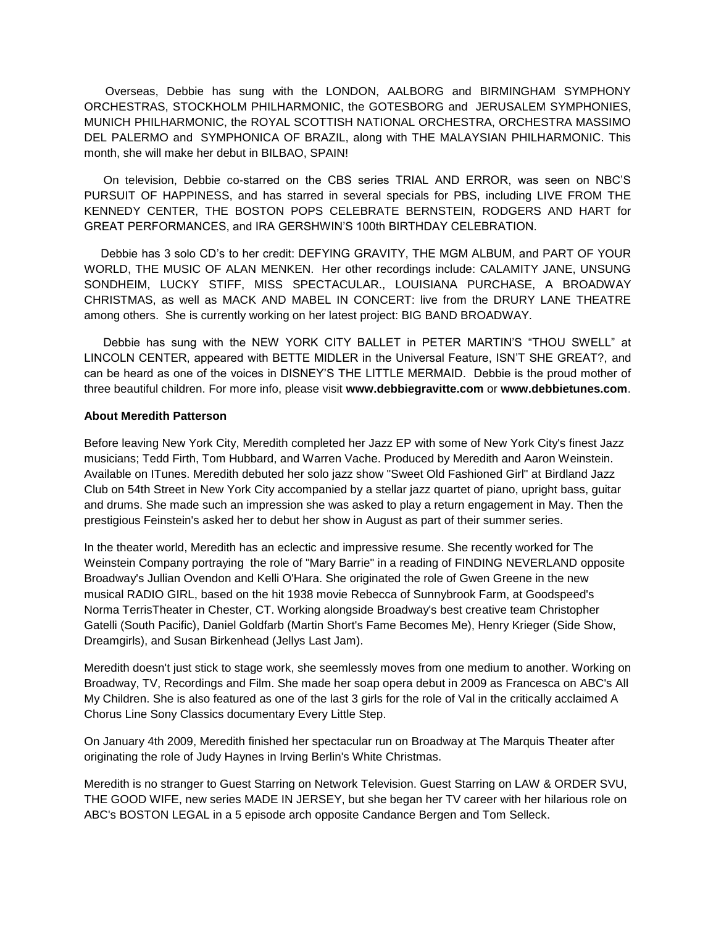Overseas, Debbie has sung with the LONDON, AALBORG and BIRMINGHAM SYMPHONY ORCHESTRAS, STOCKHOLM PHILHARMONIC, the GOTESBORG and JERUSALEM SYMPHONIES, MUNICH PHILHARMONIC, the ROYAL SCOTTISH NATIONAL ORCHESTRA, ORCHESTRA MASSIMO DEL PALERMO and SYMPHONICA OF BRAZIL, along with THE MALAYSIAN PHILHARMONIC. This month, she will make her debut in BILBAO, SPAIN!

 On television, Debbie co-starred on the CBS series TRIAL AND ERROR, was seen on NBC'S PURSUIT OF HAPPINESS, and has starred in several specials for PBS, including LIVE FROM THE KENNEDY CENTER, THE BOSTON POPS CELEBRATE BERNSTEIN, RODGERS AND HART for GREAT PERFORMANCES, and IRA GERSHWIN'S 100th BIRTHDAY CELEBRATION.

 Debbie has 3 solo CD's to her credit: DEFYING GRAVITY, THE MGM ALBUM, and PART OF YOUR WORLD, THE MUSIC OF ALAN MENKEN. Her other recordings include: CALAMITY JANE, UNSUNG SONDHEIM, LUCKY STIFF, MISS SPECTACULAR., LOUISIANA PURCHASE, A BROADWAY CHRISTMAS, as well as MACK AND MABEL IN CONCERT: live from the DRURY LANE THEATRE among others. She is currently working on her latest project: BIG BAND BROADWAY.

 Debbie has sung with the NEW YORK CITY BALLET in PETER MARTIN'S "THOU SWELL" at LINCOLN CENTER, appeared with BETTE MIDLER in the Universal Feature, ISN'T SHE GREAT?, and can be heard as one of the voices in DISNEY'S THE LITTLE MERMAID. Debbie is the proud mother of three beautiful children. For more info, please visit **www.debbiegravitte.com** or **www.debbietunes.com**.

#### **About Meredith Patterson**

Before leaving New York City, Meredith completed her Jazz EP with some of New York City's finest Jazz musicians; Tedd Firth, Tom Hubbard, and Warren Vache. Produced by Meredith and Aaron Weinstein. Available on ITunes. Meredith debuted her solo jazz show "Sweet Old Fashioned Girl" at Birdland Jazz Club on 54th Street in New York City accompanied by a stellar jazz quartet of piano, upright bass, guitar and drums. She made such an impression she was asked to play a return engagement in May. Then the prestigious Feinstein's asked her to debut her show in August as part of their summer series.

In the theater world, Meredith has an eclectic and impressive resume. She recently worked for The Weinstein Company portraying the role of "Mary Barrie" in a reading of FINDING NEVERLAND opposite Broadway's Jullian Ovendon and Kelli O'Hara. She originated the role of Gwen Greene in the new musical RADIO GIRL, based on the hit 1938 movie Rebecca of Sunnybrook Farm, at Goodspeed's Norma TerrisTheater in Chester, CT. Working alongside Broadway's best creative team Christopher Gatelli (South Pacific), Daniel Goldfarb (Martin Short's Fame Becomes Me), Henry Krieger (Side Show, Dreamgirls), and Susan Birkenhead (Jellys Last Jam).

Meredith doesn't just stick to stage work, she seemlessly moves from one medium to another. Working on Broadway, TV, Recordings and Film. She made her soap opera debut in 2009 as Francesca on ABC's All My Children. She is also featured as one of the last 3 girls for the role of Val in the critically acclaimed A Chorus Line Sony Classics documentary Every Little Step.

On January 4th 2009, Meredith finished her spectacular run on Broadway at The Marquis Theater after originating the role of Judy Haynes in Irving Berlin's White Christmas.

Meredith is no stranger to Guest Starring on Network Television. Guest Starring on LAW & ORDER SVU, THE GOOD WIFE, new series MADE IN JERSEY, but she began her TV career with her hilarious role on ABC's BOSTON LEGAL in a 5 episode arch opposite Candance Bergen and Tom Selleck.